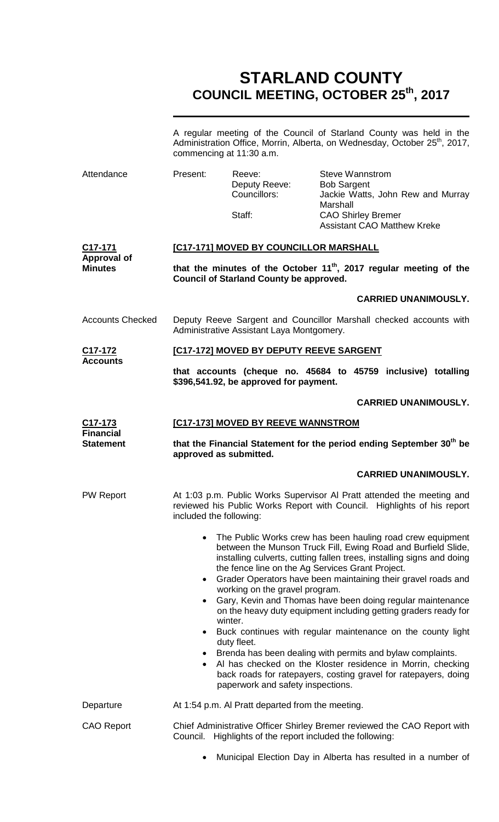# **STARLAND COUNTY COUNCIL MEETING, OCTOBER 25th, 2017**

|                                                              | A regular meeting of the Council of Starland County was held in the<br>Administration Office, Morrin, Alberta, on Wednesday, October 25 <sup>th</sup> , 2017,<br>commencing at 11:30 a.m.                                                                                                                                                           |                                                   |                                                                                                                                                                  |  |  |  |
|--------------------------------------------------------------|-----------------------------------------------------------------------------------------------------------------------------------------------------------------------------------------------------------------------------------------------------------------------------------------------------------------------------------------------------|---------------------------------------------------|------------------------------------------------------------------------------------------------------------------------------------------------------------------|--|--|--|
| Attendance                                                   | Present:                                                                                                                                                                                                                                                                                                                                            | Reeve:<br>Deputy Reeve:<br>Councillors:<br>Staff: | <b>Steve Wannstrom</b><br><b>Bob Sargent</b><br>Jackie Watts, John Rew and Murray<br>Marshall<br><b>CAO Shirley Bremer</b><br><b>Assistant CAO Matthew Kreke</b> |  |  |  |
| C <sub>17</sub> -171<br><b>Approval of</b><br><b>Minutes</b> | [C17-171] MOVED BY COUNCILLOR MARSHALL                                                                                                                                                                                                                                                                                                              |                                                   |                                                                                                                                                                  |  |  |  |
|                                                              | that the minutes of the October 11 <sup>th</sup> , 2017 regular meeting of the<br><b>Council of Starland County be approved.</b>                                                                                                                                                                                                                    |                                                   |                                                                                                                                                                  |  |  |  |
|                                                              |                                                                                                                                                                                                                                                                                                                                                     |                                                   | <b>CARRIED UNANIMOUSLY.</b>                                                                                                                                      |  |  |  |
| <b>Accounts Checked</b>                                      | Deputy Reeve Sargent and Councillor Marshall checked accounts with<br>Administrative Assistant Laya Montgomery.                                                                                                                                                                                                                                     |                                                   |                                                                                                                                                                  |  |  |  |
| C17-172                                                      | [C17-172] MOVED BY DEPUTY REEVE SARGENT                                                                                                                                                                                                                                                                                                             |                                                   |                                                                                                                                                                  |  |  |  |
| <b>Accounts</b>                                              |                                                                                                                                                                                                                                                                                                                                                     | \$396,541.92, be approved for payment.            | that accounts (cheque no. 45684 to 45759 inclusive) totalling                                                                                                    |  |  |  |
|                                                              |                                                                                                                                                                                                                                                                                                                                                     |                                                   | <b>CARRIED UNANIMOUSLY.</b>                                                                                                                                      |  |  |  |
| <u>C17-173</u><br><b>Financial</b><br><b>Statement</b>       | <b>[C17-173] MOVED BY REEVE WANNSTROM</b>                                                                                                                                                                                                                                                                                                           |                                                   |                                                                                                                                                                  |  |  |  |
|                                                              | that the Financial Statement for the period ending September 30 <sup>th</sup> be<br>approved as submitted.                                                                                                                                                                                                                                          |                                                   |                                                                                                                                                                  |  |  |  |
|                                                              |                                                                                                                                                                                                                                                                                                                                                     |                                                   | <b>CARRIED UNANIMOUSLY.</b>                                                                                                                                      |  |  |  |
| <b>PW Report</b>                                             | At 1:03 p.m. Public Works Supervisor Al Pratt attended the meeting and<br>reviewed his Public Works Report with Council. Highlights of his report<br>included the following:                                                                                                                                                                        |                                                   |                                                                                                                                                                  |  |  |  |
|                                                              | The Public Works crew has been hauling road crew equipment<br>$\bullet$<br>between the Munson Truck Fill, Ewing Road and Burfield Slide,<br>installing culverts, cutting fallen trees, installing signs and doing<br>the fence line on the Ag Services Grant Project.<br>Grader Operators have been maintaining their gravel roads and<br>$\bullet$ |                                                   |                                                                                                                                                                  |  |  |  |
|                                                              | working on the gravel program.<br>Gary, Kevin and Thomas have been doing regular maintenance<br>on the heavy duty equipment including getting graders ready for<br>winter.                                                                                                                                                                          |                                                   |                                                                                                                                                                  |  |  |  |
|                                                              | Buck continues with regular maintenance on the county light<br>$\bullet$<br>duty fleet.                                                                                                                                                                                                                                                             |                                                   |                                                                                                                                                                  |  |  |  |
|                                                              | Brenda has been dealing with permits and bylaw complaints.<br>$\bullet$<br>Al has checked on the Kloster residence in Morrin, checking<br>$\bullet$<br>back roads for ratepayers, costing gravel for ratepayers, doing<br>paperwork and safety inspections.                                                                                         |                                                   |                                                                                                                                                                  |  |  |  |
| Departure                                                    |                                                                                                                                                                                                                                                                                                                                                     | At 1:54 p.m. Al Pratt departed from the meeting.  |                                                                                                                                                                  |  |  |  |
| <b>CAO Report</b>                                            | Chief Administrative Officer Shirley Bremer reviewed the CAO Report with<br>Council. Highlights of the report included the following:                                                                                                                                                                                                               |                                                   |                                                                                                                                                                  |  |  |  |
|                                                              | ٠                                                                                                                                                                                                                                                                                                                                                   |                                                   | Municipal Election Day in Alberta has resulted in a number of                                                                                                    |  |  |  |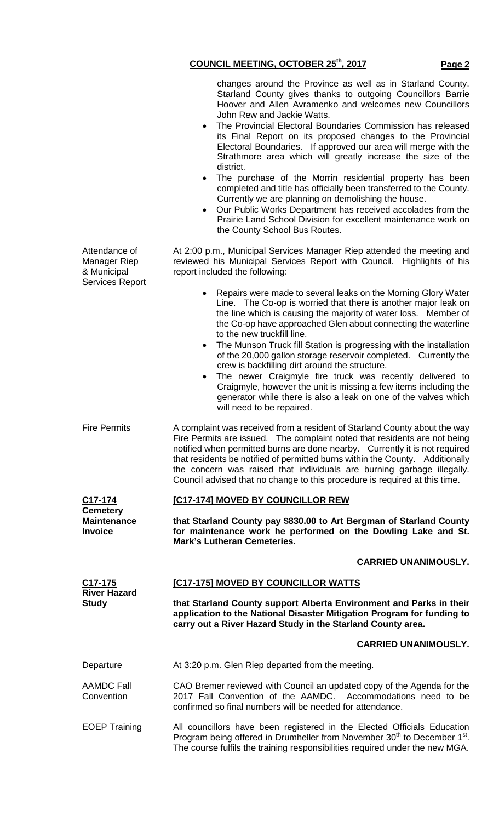|                                                         | Electoral Boundaries. If approved our area will merge with the<br>Strathmore area which will greatly increase the size of the<br>district.<br>The purchase of the Morrin residential property has been<br>$\bullet$<br>completed and title has officially been transferred to the County.<br>Currently we are planning on demolishing the house.<br>Our Public Works Department has received accolades from the<br>$\bullet$<br>Prairie Land School Division for excellent maintenance work on                                                                                                                                                                                                                                                                      |  |  |  |
|---------------------------------------------------------|---------------------------------------------------------------------------------------------------------------------------------------------------------------------------------------------------------------------------------------------------------------------------------------------------------------------------------------------------------------------------------------------------------------------------------------------------------------------------------------------------------------------------------------------------------------------------------------------------------------------------------------------------------------------------------------------------------------------------------------------------------------------|--|--|--|
| Attendance of<br>Manager Riep<br>& Municipal            | the County School Bus Routes.<br>At 2:00 p.m., Municipal Services Manager Riep attended the meeting and<br>reviewed his Municipal Services Report with Council. Highlights of his<br>report included the following:                                                                                                                                                                                                                                                                                                                                                                                                                                                                                                                                                 |  |  |  |
| <b>Services Report</b>                                  | Repairs were made to several leaks on the Morning Glory Water<br>$\bullet$<br>Line. The Co-op is worried that there is another major leak on<br>the line which is causing the majority of water loss. Member of<br>the Co-op have approached Glen about connecting the waterline<br>to the new truckfill line.<br>The Munson Truck fill Station is progressing with the installation<br>$\bullet$<br>of the 20,000 gallon storage reservoir completed. Currently the<br>crew is backfilling dirt around the structure.<br>The newer Craigmyle fire truck was recently delivered to<br>$\bullet$<br>Craigmyle, however the unit is missing a few items including the<br>generator while there is also a leak on one of the valves which<br>will need to be repaired. |  |  |  |
| <b>Fire Permits</b>                                     | A complaint was received from a resident of Starland County about the way<br>Fire Permits are issued. The complaint noted that residents are not being<br>notified when permitted burns are done nearby. Currently it is not required<br>that residents be notified of permitted burns within the County. Additionally<br>the concern was raised that individuals are burning garbage illegally.<br>Council advised that no change to this procedure is required at this time.                                                                                                                                                                                                                                                                                      |  |  |  |
| C <sub>17</sub> -174                                    | [C17-174] MOVED BY COUNCILLOR REW                                                                                                                                                                                                                                                                                                                                                                                                                                                                                                                                                                                                                                                                                                                                   |  |  |  |
| <b>Cemetery</b><br><b>Maintenance</b><br><b>Invoice</b> | that Starland County pay \$830.00 to Art Bergman of Starland County<br>for maintenance work he performed on the Dowling Lake and St.<br><b>Mark's Lutheran Cemeteries.</b>                                                                                                                                                                                                                                                                                                                                                                                                                                                                                                                                                                                          |  |  |  |
|                                                         | <b>CARRIED UNANIMOUSLY.</b>                                                                                                                                                                                                                                                                                                                                                                                                                                                                                                                                                                                                                                                                                                                                         |  |  |  |
| <u>C17-175</u>                                          |                                                                                                                                                                                                                                                                                                                                                                                                                                                                                                                                                                                                                                                                                                                                                                     |  |  |  |
|                                                         | [C17-175] MOVED BY COUNCILLOR WATTS                                                                                                                                                                                                                                                                                                                                                                                                                                                                                                                                                                                                                                                                                                                                 |  |  |  |
| <b>River Hazard</b><br><b>Study</b>                     | that Starland County support Alberta Environment and Parks in their<br>application to the National Disaster Mitigation Program for funding to<br>carry out a River Hazard Study in the Starland County area.                                                                                                                                                                                                                                                                                                                                                                                                                                                                                                                                                        |  |  |  |
|                                                         | <b>CARRIED UNANIMOUSLY.</b>                                                                                                                                                                                                                                                                                                                                                                                                                                                                                                                                                                                                                                                                                                                                         |  |  |  |
| Departure                                               | At 3:20 p.m. Glen Riep departed from the meeting.                                                                                                                                                                                                                                                                                                                                                                                                                                                                                                                                                                                                                                                                                                                   |  |  |  |
| <b>AAMDC Fall</b><br>Convention                         | CAO Bremer reviewed with Council an updated copy of the Agenda for the<br>2017 Fall Convention of the AAMDC. Accommodations need to be<br>confirmed so final numbers will be needed for attendance.                                                                                                                                                                                                                                                                                                                                                                                                                                                                                                                                                                 |  |  |  |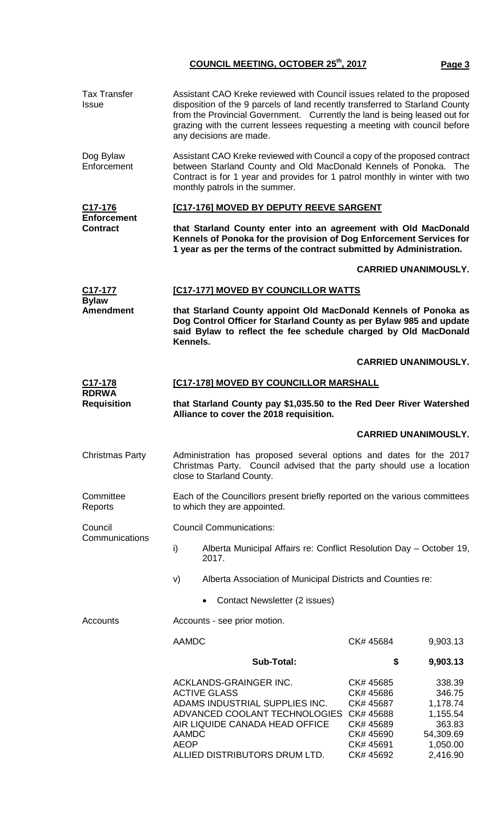## **COUNCIL MEETING, OCTOBER 25th, 2017 Page 3**

| <b>Tax Transfer</b><br>Issue                     | Assistant CAO Kreke reviewed with Council issues related to the proposed<br>disposition of the 9 parcels of land recently transferred to Starland County<br>from the Provincial Government. Currently the land is being leased out for<br>grazing with the current lessees requesting a meeting with council before<br>any decisions are made. |                                                                                                                                                                                                                                                                |                                                                                         |                                                                                         |  |  |  |
|--------------------------------------------------|------------------------------------------------------------------------------------------------------------------------------------------------------------------------------------------------------------------------------------------------------------------------------------------------------------------------------------------------|----------------------------------------------------------------------------------------------------------------------------------------------------------------------------------------------------------------------------------------------------------------|-----------------------------------------------------------------------------------------|-----------------------------------------------------------------------------------------|--|--|--|
| Dog Bylaw<br>Enforcement                         |                                                                                                                                                                                                                                                                                                                                                | Assistant CAO Kreke reviewed with Council a copy of the proposed contract<br>between Starland County and Old MacDonald Kennels of Ponoka. The<br>Contract is for 1 year and provides for 1 patrol monthly in winter with two<br>monthly patrols in the summer. |                                                                                         |                                                                                         |  |  |  |
| C17-176<br><b>Enforcement</b><br><b>Contract</b> |                                                                                                                                                                                                                                                                                                                                                | [C17-176] MOVED BY DEPUTY REEVE SARGENT                                                                                                                                                                                                                        |                                                                                         |                                                                                         |  |  |  |
|                                                  |                                                                                                                                                                                                                                                                                                                                                | that Starland County enter into an agreement with Old MacDonald<br>Kennels of Ponoka for the provision of Dog Enforcement Services for<br>1 year as per the terms of the contract submitted by Administration.                                                 |                                                                                         |                                                                                         |  |  |  |
|                                                  |                                                                                                                                                                                                                                                                                                                                                |                                                                                                                                                                                                                                                                |                                                                                         | <b>CARRIED UNANIMOUSLY.</b>                                                             |  |  |  |
| C17-177                                          |                                                                                                                                                                                                                                                                                                                                                | [C17-177] MOVED BY COUNCILLOR WATTS                                                                                                                                                                                                                            |                                                                                         |                                                                                         |  |  |  |
| <b>Bylaw</b><br><b>Amendment</b>                 |                                                                                                                                                                                                                                                                                                                                                | that Starland County appoint Old MacDonald Kennels of Ponoka as<br>Dog Control Officer for Starland County as per Bylaw 985 and update<br>said Bylaw to reflect the fee schedule charged by Old MacDonald<br>Kennels.                                          |                                                                                         |                                                                                         |  |  |  |
|                                                  |                                                                                                                                                                                                                                                                                                                                                |                                                                                                                                                                                                                                                                |                                                                                         | <b>CARRIED UNANIMOUSLY.</b>                                                             |  |  |  |
| C <sub>17</sub> -178                             |                                                                                                                                                                                                                                                                                                                                                | [C17-178] MOVED BY COUNCILLOR MARSHALL                                                                                                                                                                                                                         |                                                                                         |                                                                                         |  |  |  |
| <b>RDRWA</b><br><b>Requisition</b>               |                                                                                                                                                                                                                                                                                                                                                | that Starland County pay \$1,035.50 to the Red Deer River Watershed<br>Alliance to cover the 2018 requisition.                                                                                                                                                 |                                                                                         |                                                                                         |  |  |  |
|                                                  |                                                                                                                                                                                                                                                                                                                                                |                                                                                                                                                                                                                                                                |                                                                                         | <b>CARRIED UNANIMOUSLY.</b>                                                             |  |  |  |
| <b>Christmas Party</b>                           |                                                                                                                                                                                                                                                                                                                                                | Administration has proposed several options and dates for the 2017<br>Christmas Party. Council advised that the party should use a location<br>close to Starland County.                                                                                       |                                                                                         |                                                                                         |  |  |  |
| Committee<br>Reports                             |                                                                                                                                                                                                                                                                                                                                                | Each of the Councillors present briefly reported on the various committees<br>to which they are appointed.                                                                                                                                                     |                                                                                         |                                                                                         |  |  |  |
| Council                                          |                                                                                                                                                                                                                                                                                                                                                | <b>Council Communications:</b>                                                                                                                                                                                                                                 |                                                                                         |                                                                                         |  |  |  |
| Communications                                   | i)                                                                                                                                                                                                                                                                                                                                             | Alberta Municipal Affairs re: Conflict Resolution Day - October 19,<br>2017.                                                                                                                                                                                   |                                                                                         |                                                                                         |  |  |  |
|                                                  | V)                                                                                                                                                                                                                                                                                                                                             | Alberta Association of Municipal Districts and Counties re:                                                                                                                                                                                                    |                                                                                         |                                                                                         |  |  |  |
|                                                  |                                                                                                                                                                                                                                                                                                                                                | Contact Newsletter (2 issues)<br>$\bullet$                                                                                                                                                                                                                     |                                                                                         |                                                                                         |  |  |  |
| Accounts                                         |                                                                                                                                                                                                                                                                                                                                                | Accounts - see prior motion.                                                                                                                                                                                                                                   |                                                                                         |                                                                                         |  |  |  |
|                                                  |                                                                                                                                                                                                                                                                                                                                                | <b>AAMDC</b><br>CK# 45684<br>9,903.13                                                                                                                                                                                                                          |                                                                                         |                                                                                         |  |  |  |
|                                                  |                                                                                                                                                                                                                                                                                                                                                | <b>Sub-Total:</b>                                                                                                                                                                                                                                              | \$                                                                                      | 9,903.13                                                                                |  |  |  |
|                                                  | <b>AAMDC</b><br><b>AEOP</b>                                                                                                                                                                                                                                                                                                                    | ACKLANDS-GRAINGER INC.<br><b>ACTIVE GLASS</b><br>ADAMS INDUSTRIAL SUPPLIES INC.<br>ADVANCED COOLANT TECHNOLOGIES CK# 45688<br>AIR LIQUIDE CANADA HEAD OFFICE<br>ALLIED DISTRIBUTORS DRUM LTD.                                                                  | CK# 45685<br>CK# 45686<br>CK# 45687<br>CK# 45689<br>CK# 45690<br>CK# 45691<br>CK# 45692 | 338.39<br>346.75<br>1,178.74<br>1,155.54<br>363.83<br>54,309.69<br>1,050.00<br>2,416.90 |  |  |  |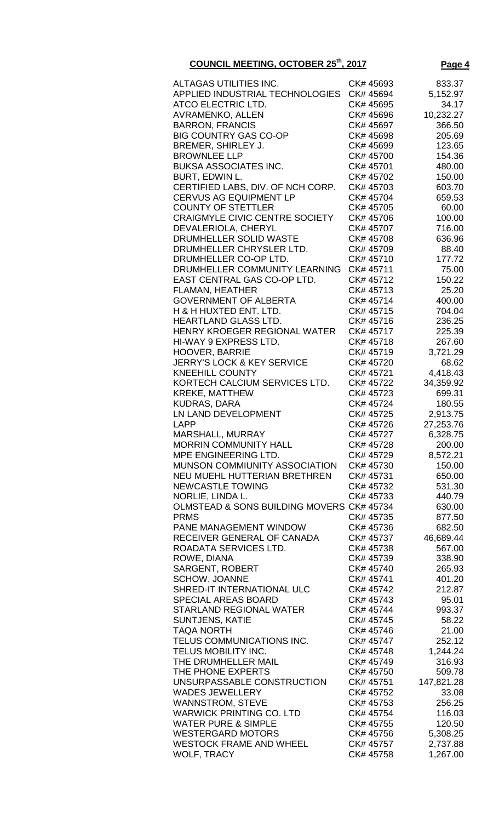| ALTAGAS UTILITIES INC.                    | CK# 45693 | 833.37     |
|-------------------------------------------|-----------|------------|
|                                           |           |            |
| APPLIED INDUSTRIAL TECHNOLOGIES           | CK# 45694 | 5,152.97   |
| ATCO ELECTRIC LTD.                        | CK# 45695 | 34.17      |
|                                           |           |            |
| AVRAMENKO, ALLEN                          | CK# 45696 | 10,232.27  |
| <b>BARRON, FRANCIS</b>                    | CK# 45697 | 366.50     |
|                                           |           |            |
| <b>BIG COUNTRY GAS CO-OP</b>              | CK# 45698 | 205.69     |
| BREMER, SHIRLEY J.                        | CK# 45699 | 123.65     |
|                                           |           |            |
| <b>BROWNLEE LLP</b>                       | CK# 45700 | 154.36     |
| <b>BUKSA ASSOCIATES INC.</b>              | CK# 45701 | 480.00     |
|                                           |           |            |
| BURT, EDWIN L.                            | CK# 45702 | 150.00     |
| CERTIFIED LABS, DIV. OF NCH CORP.         | CK# 45703 | 603.70     |
|                                           |           |            |
| <b>CERVUS AG EQUIPMENT LP</b>             | CK# 45704 | 659.53     |
| <b>COUNTY OF STETTLER</b>                 | CK# 45705 | 60.00      |
|                                           |           |            |
| <b>CRAIGMYLE CIVIC CENTRE SOCIETY</b>     | CK# 45706 | 100.00     |
| DEVALERIOLA, CHERYL                       | CK# 45707 | 716.00     |
|                                           |           |            |
| DRUMHELLER SOLID WASTE                    | CK# 45708 | 636.96     |
| DRUMHELLER CHRYSLER LTD.                  | CK# 45709 | 88.40      |
|                                           | CK# 45710 | 177.72     |
| DRUMHELLER CO-OP LTD.                     |           |            |
| DRUMHELLER COMMUNITY LEARNING             | CK# 45711 | 75.00      |
| EAST CENTRAL GAS CO-OP LTD.               | CK# 45712 | 150.22     |
|                                           |           |            |
| <b>FLAMAN, HEATHER</b>                    | CK# 45713 | 25.20      |
| <b>GOVERNMENT OF ALBERTA</b>              | CK# 45714 | 400.00     |
|                                           |           |            |
| H & H HUXTED ENT. LTD.                    | CK# 45715 | 704.04     |
| <b>HEARTLAND GLASS LTD.</b>               | CK# 45716 | 236.25     |
|                                           |           |            |
| HENRY KROEGER REGIONAL WATER              | CK# 45717 | 225.39     |
| HI-WAY 9 EXPRESS LTD.                     | CK# 45718 | 267.60     |
|                                           |           |            |
| <b>HOOVER, BARRIE</b>                     | CK# 45719 | 3,721.29   |
| <b>JERRY'S LOCK &amp; KEY SERVICE</b>     | CK# 45720 | 68.62      |
|                                           |           |            |
| <b>KNEEHILL COUNTY</b>                    | CK# 45721 | 4,418.43   |
| KORTECH CALCIUM SERVICES LTD.             | CK# 45722 | 34,359.92  |
|                                           |           |            |
| <b>KREKE, MATTHEW</b>                     | CK# 45723 | 699.31     |
| <b>KUDRAS, DARA</b>                       | CK# 45724 | 180.55     |
| LN LAND DEVELOPMENT                       | CK# 45725 |            |
|                                           |           | 2,913.75   |
| LAPP                                      | CK# 45726 | 27,253.76  |
| MARSHALL, MURRAY                          | CK# 45727 | 6,328.75   |
|                                           |           |            |
| <b>MORRIN COMMUNITY HALL</b>              | CK# 45728 | 200.00     |
| MPE ENGINEERING LTD.                      | CK# 45729 | 8,572.21   |
|                                           |           |            |
| MUNSON COMMIUNITY ASSOCIATION             | CK# 45730 | 150.00     |
| NEU MUEHL HUTTERIAN BRETHREN              | CK# 45731 | 650.00     |
|                                           |           |            |
| <b>NEWCASTLE TOWING</b>                   | CK# 45732 | 531.30     |
| NORLIE, LINDA L.                          | CK# 45733 | 440.79     |
|                                           |           |            |
| OLMSTEAD & SONS BUILDING MOVERS CK# 45734 |           | 630.00     |
| <b>PRMS</b>                               | CK# 45735 | 877.50     |
| PANE MANAGEMENT WINDOW                    | CK# 45736 | 682.50     |
|                                           |           |            |
| RECEIVER GENERAL OF CANADA                | CK# 45737 | 46,689.44  |
| ROADATA SERVICES LTD.                     | CK# 45738 | 567.00     |
|                                           |           |            |
| ROWE, DIANA                               | CK# 45739 | 338.90     |
| <b>SARGENT, ROBERT</b>                    | CK# 45740 | 265.93     |
|                                           |           |            |
| <b>SCHOW, JOANNE</b>                      | CK# 45741 | 401.20     |
| SHRED-IT INTERNATIONAL ULC                | CK# 45742 | 212.87     |
|                                           |           |            |
| <b>SPECIAL AREAS BOARD</b>                | CK# 45743 | 95.01      |
| <b>STARLAND REGIONAL WATER</b>            | CK# 45744 | 993.37     |
|                                           | CK# 45745 | 58.22      |
| <b>SUNTJENS, KATIE</b>                    |           |            |
| <b>TAQA NORTH</b>                         | CK# 45746 | 21.00      |
| TELUS COMMUNICATIONS INC.                 | CK# 45747 | 252.12     |
|                                           |           |            |
| TELUS MOBILITY INC.                       | CK# 45748 | 1,244.24   |
| THE DRUMHELLER MAIL                       | CK# 45749 | 316.93     |
|                                           |           |            |
| THE PHONE EXPERTS                         | CK# 45750 | 509.78     |
| UNSURPASSABLE CONSTRUCTION                | CK# 45751 | 147,821.28 |
|                                           |           |            |
| <b>WADES JEWELLERY</b>                    | CK# 45752 | 33.08      |
| <b>WANNSTROM, STEVE</b>                   | CK# 45753 | 256.25     |
|                                           |           |            |
| <b>WARWICK PRINTING CO. LTD</b>           | CK# 45754 | 116.03     |
| <b>WATER PURE &amp; SIMPLE</b>            | CK# 45755 | 120.50     |
|                                           |           |            |
| <b>WESTERGARD MOTORS</b>                  | CK# 45756 | 5,308.25   |
| <b>WESTOCK FRAME AND WHEEL</b>            | CK# 45757 | 2,737.88   |
|                                           |           |            |

WOLF, TRACY CK# 45758 1,267.00

**COUNCIL MEETING, OCTOBER 25th, 2017 Page 4**